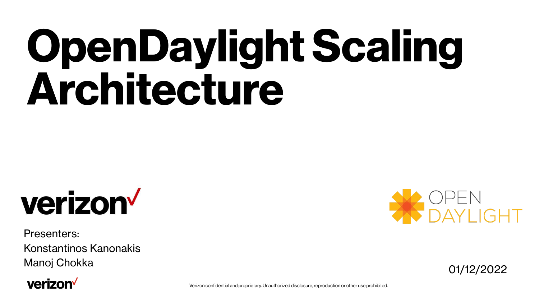# **OpenDaylight Scaling Architecture**



Presenters: Konstantinos Kanonakis Manoj Chokka 01/12/2022

# verizon<sup>V</sup>



Verizon confidential and proprietary. Unauthorized disclosure, reproduction or other use prohibited.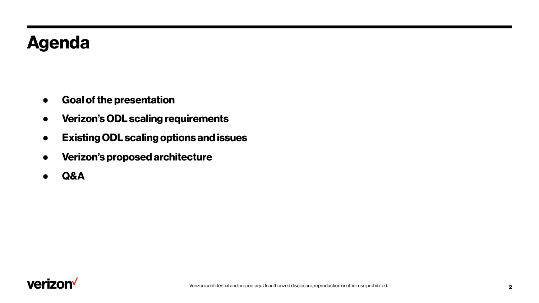# **Agenda**

- **● Goal of the presentation**
- **● Verizon's ODL scaling requirements**
- **● Existing ODL scaling options and issues**
- **● Verizon's proposed architecture**
- **● Q&A**

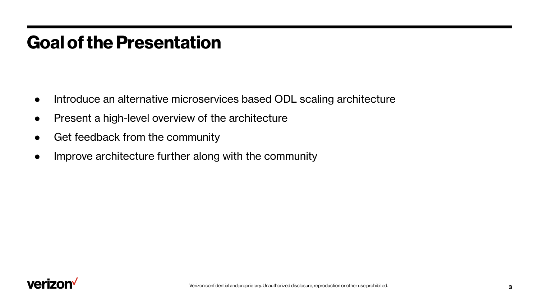# **Goal of the Presentation**

- Introduce an alternative microservices based ODL scaling architecture
- Present a high-level overview of the architecture
- Get feedback from the community
- Improve architecture further along with the community

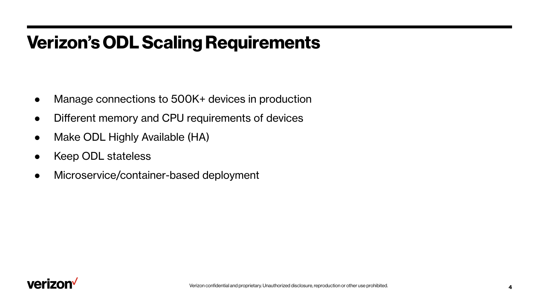# **Verizon's ODL Scaling Requirements**

- Manage connections to 500K+ devices in production
- Different memory and CPU requirements of devices
- Make ODL Highly Available (HA)
- Keep ODL stateless
- Microservice/container-based deployment

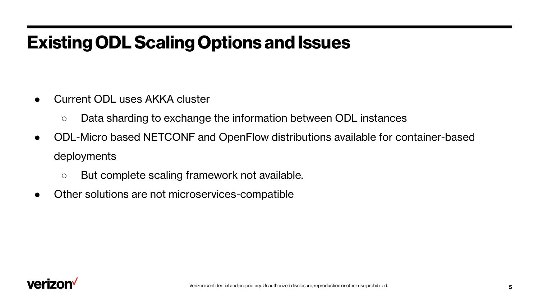# **Existing ODL Scaling Options and Issues**

- Current ODL uses AKKA cluster
	- Data sharding to exchange the information between ODL instances
- **●** ODL-Micro based NETCONF and OpenFlow distributions available for container-based deployments
	- But complete scaling framework not available.
- Other solutions are not microservices-compatible

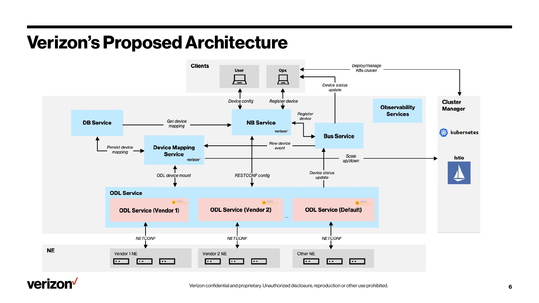# **Verizon's Proposed Architecture**



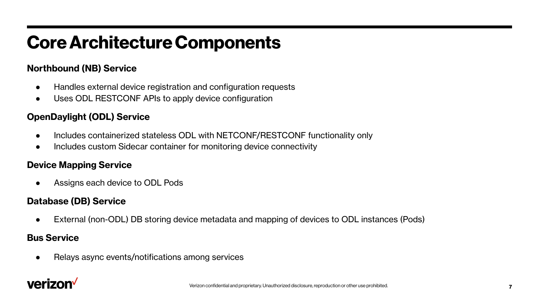# **Core Architecture Components**

### **Northbound (NB) Service**

- Handles external device registration and configuration requests
- Uses ODL RESTCONF APIs to apply device configuration

## **OpenDaylight (ODL) Service**

- Includes containerized stateless ODL with NETCONF/RESTCONF functionality only
- Includes custom Sidecar container for monitoring device connectivity

### **Device Mapping Service**

Assigns each device to ODL Pods

### **Database (DB) Service**

External (non-ODL) DB storing device metadata and mapping of devices to ODL instances (Pods)

### **Bus Service**

Relays async events/notifications among services

# verizon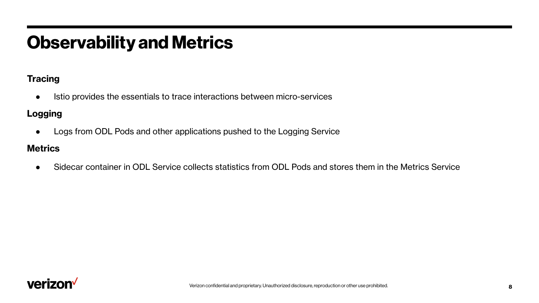# **Observability and Metrics**

### **Tracing**

● Istio provides the essentials to trace interactions between micro-services

### **Logging**

● Logs from ODL Pods and other applications pushed to the Logging Service

### **Metrics**

Sidecar container in ODL Service collects statistics from ODL Pods and stores them in the Metrics Service

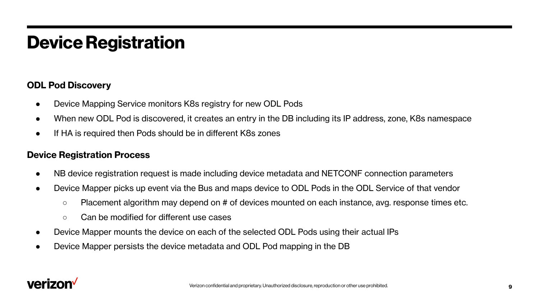# **Device Registration**

### **ODL Pod Discovery**

- Device Mapping Service monitors K8s registry for new ODL Pods
- When new ODL Pod is discovered, it creates an entry in the DB including its IP address, zone, K8s namespace
- If HA is required then Pods should be in different K8s zones

### **Device Registration Process**

- NB device registration request is made including device metadata and NETCONF connection parameters
- Device Mapper picks up event via the Bus and maps device to ODL Pods in the ODL Service of that vendor
	- $\circ$  Placement algorithm may depend on # of devices mounted on each instance, avg. response times etc.
	- Can be modified for different use cases
- Device Mapper mounts the device on each of the selected ODL Pods using their actual IPs
- Device Mapper persists the device metadata and ODL Pod mapping in the DB

# varizol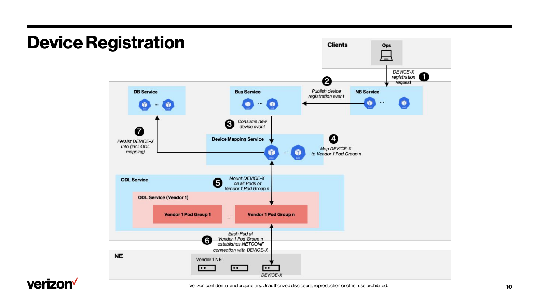

# verizon<sup>V</sup>

Verizon confidential and proprietary. Unauthorized disclosure, reproduction or other use prohibited.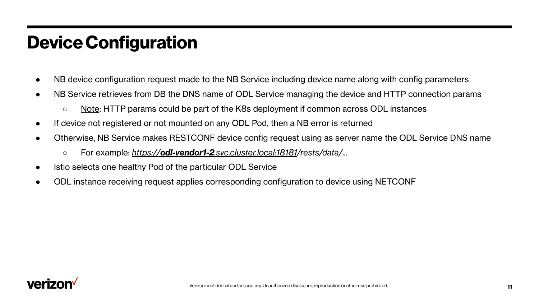# **Device Configuration**

- NB device configuration request made to the NB Service including device name along with config parameters
- NB Service retrieves from DB the DNS name of ODL Service managing the device and HTTP connection params
	- Note: HTTP params could be part of the K8s deployment if common across ODL instances
- If device not registered or not mounted on any ODL Pod, then a NB error is returned
- Otherwise, NB Service makes RESTCONF device config request using as server name the ODL Service DNS name
	- For example: *https://odl-vendor1-2[.svc.cluster.local:18181/](https://odl-vendor1-2.svc.cluster.local:18181/)rests/data/...*
- Istio selects one healthy Pod of the particular ODL Service
- ODL instance receiving request applies corresponding configuration to device using NETCONF

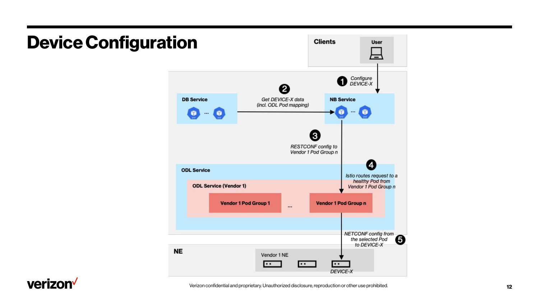

# **Device Configuration**

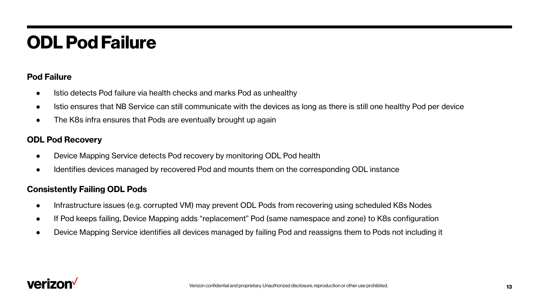# **ODL Pod Failure**

### **Pod Failure**

- Istio detects Pod failure via health checks and marks Pod as unhealthy
- Istio ensures that NB Service can still communicate with the devices as long as there is still one healthy Pod per device
- The K8s infra ensures that Pods are eventually brought up again

### **ODL Pod Recovery**

- Device Mapping Service detects Pod recovery by monitoring ODL Pod health
- Identifies devices managed by recovered Pod and mounts them on the corresponding ODL instance

### **Consistently Failing ODL Pods**

- Infrastructure issues (e.g. corrupted VM) may prevent ODL Pods from recovering using scheduled K8s Nodes
- If Pod keeps failing, Device Mapping adds "replacement" Pod (same namespace and zone) to K8s configuration
- Device Mapping Service identifies all devices managed by failing Pod and reassigns them to Pods not including it

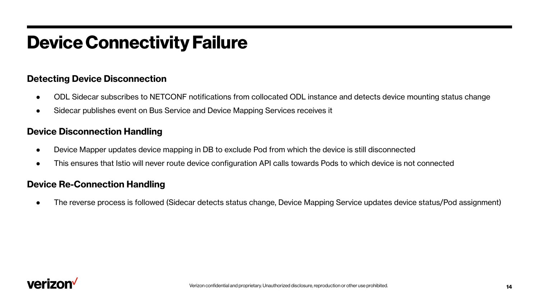# **Device Connectivity Failure**

### **Detecting Device Disconnection**

- ODL Sidecar subscribes to NETCONF notifications from collocated ODL instance and detects device mounting status change
- Sidecar publishes event on Bus Service and Device Mapping Services receives it

### **Device Disconnection Handling**

- Device Mapper updates device mapping in DB to exclude Pod from which the device is still disconnected
- This ensures that Istio will never route device configuration API calls towards Pods to which device is not connected

### **Device Re-Connection Handling**

The reverse process is followed (Sidecar detects status change, Device Mapping Service updates device status/Pod assignment)

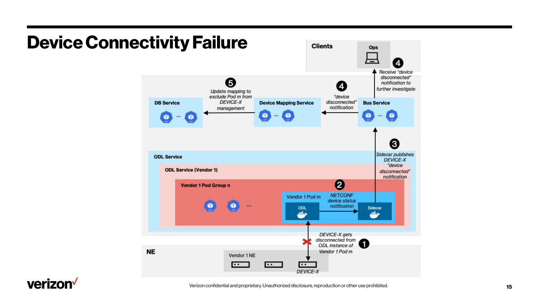

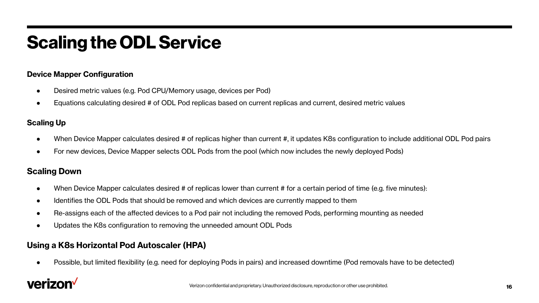# **Scaling the ODL Service**

#### **Device Mapper Configuration**

- Desired metric values (e.g. Pod CPU/Memory usage, devices per Pod)
- Equations calculating desired # of ODL Pod replicas based on current replicas and current, desired metric values

#### **Scaling Up**

- When Device Mapper calculates desired # of replicas higher than current #, it updates K8s configuration to include additional ODL Pod pairs
- For new devices, Device Mapper selects ODL Pods from the pool (which now includes the newly deployed Pods)

#### **Scaling Down**

- When Device Mapper calculates desired # of replicas lower than current # for a certain period of time (e.g. five minutes):
- Identifies the ODL Pods that should be removed and which devices are currently mapped to them
- Re-assigns each of the affected devices to a Pod pair not including the removed Pods, performing mounting as needed
- Updates the K8s configuration to removing the unneeded amount ODL Pods

#### **Using a K8s Horizontal Pod Autoscaler (HPA)**

Possible, but limited flexibility (e.g. need for deploying Pods in pairs) and increased downtime (Pod removals have to be detected)

# verizon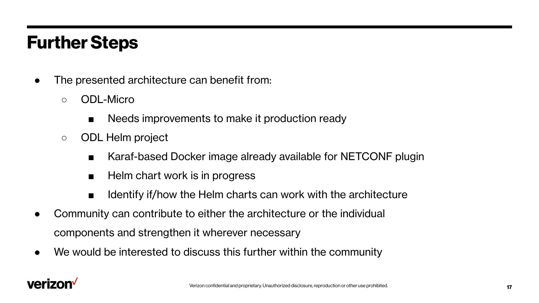# **Further Steps**

- The presented architecture can benefit from:
	- ODL-Micro
		- Needs improvements to make it production ready
	- ODL Helm project
		- Karaf-based Docker image already available for NETCONF plugin
		- Helm chart work is in progress
		- Identify if/how the Helm charts can work with the architecture
- Community can contribute to either the architecture or the individual components and strengthen it wherever necessary
- We would be interested to discuss this further within the community

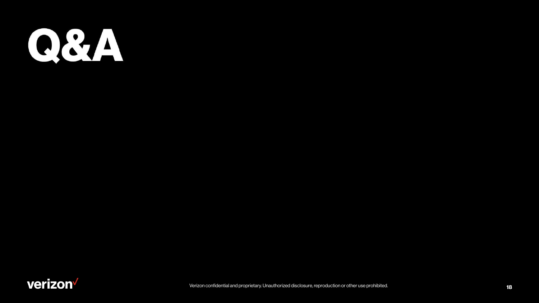